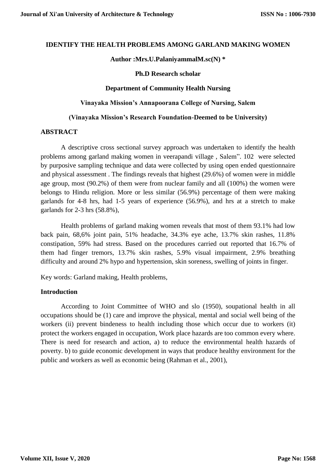### **IDENTIFY THE HEALTH PROBLEMS AMONG GARLAND MAKING WOMEN**

### **Author :Mrs.U.PalaniyammalM.sc(N) \***

#### **Ph.D Research scholar**

### **Department of Community Health Nursing**

#### **Vinayaka Mission's Annapoorana College of Nursing, Salem**

### **(Vinayaka Mission's Research Foundation-Deemed to be University)**

### **ABSTRACT**

A descriptive cross sectional survey approach was undertaken to identify the health problems among garland making women in veerapandi village , Salem". 102 were selected by purposive sampling technique and data were collected by using open ended questionnaire and physical assessment . The findings reveals that highest (29.6%) of women were in middle age group, most (90.2%) of them were from nuclear family and all (100%) the women were belongs to Hindu religion. More or less similar (56.9%) percentage of them were making garlands for 4-8 hrs, had 1-5 years of experience (56.9%), and hrs at a stretch to make garlands for 2-3 hrs (58.8%),

Health problems of garland making women reveals that most of them 93.1% had low back pain, 68,6% joint pain, 51% headache, 34.3% eye ache, 13.7% skin rashes, 11.8% constipation, 59% had stress. Based on the procedures carried out reported that 16.7% of them had finger tremors, 13.7% skin rashes, 5.9% visual impairment, 2.9% breathing difficulty and around 2% hypo and hypertension, skin soreness, swelling of joints in finger.

Key words: Garland making, Health problems,

# **Introduction**

According to Joint Committee of WHO and slo (1950), soupational health in all occupations should be (1) care and improve the physical, mental and social well being of the workers (ii) prevent bindeness to health including those which occur due to workers (it) protect the workers engaged in occupation, Work place hazards are too common every where. There is need for research and action, a) to reduce the environmental health hazards of poverty. b) to guide economic development in ways that produce healthy environment for the public and workers as well as economic being (Rahman et al., 2001),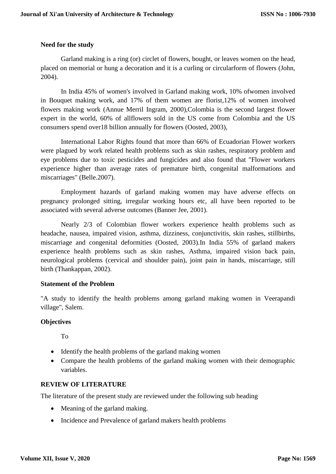# **Need for the study**

Garland making is a ring (or) circlet of flowers, bought, or leaves women on the head, placed on memorial or hung a decoration and it is a curling or circularform of flowers (John, 2004).

In India 45% of women's involved in Garland making work, 10% ofwomen involved in Bouquet making work, and 17% of them women are florist,12% of women involved flowers making work (Annue Merril Ingram, 2000),Colombia is the second largest flower expert in the world, 60% of allflowers sold in the US come from Colombia and the US consumers spend over18 billion annually for flowers (Oosted, 2003),

International Labor Rights found that more than 66% of Ecuadorian Flower workers were plagued by work related health problems such as skin rashes, respiratory problem and eye problems due to toxic pesticides and fungicides and also found that "Flower workers experience higher than average rates of premature birth, congenital malformations and miscarriages" (Belle.2007).

Employment hazards of garland making women may have adverse effects on pregnancy prolonged sitting, irregular working hours etc, all have been reported to be associated with several adverse outcomes (Banner Jee, 2001).

Nearly 2/3 of Colombian flower workers experience health problems such as headache, nausea, impaired vision, asthma, dizziness, conjunctivitis, skin rashes, stillbirths, miscarriage and congenital deformities (Oosted, 2003).In India 55% of garland makers experience health problems such as skin rashes, Asthma, impaired vision back pain, neurological problems (cervical and shoulder pain), joint pain in hands, miscarriage, still birth (Thankappan, 2002).

# **Statement of the Problem**

"A study to identify the health problems among garland making women in Veerapandi village", Salem.

# **Objectives**

To

- Identify the health problems of the garland making women
- Compare the health problems of the garland making women with their demographic variables.

# **REVIEW OF LITERATURE**

The literature of the present study are reviewed under the following sub heading

- Meaning of the garland making.
- Incidence and Prevalence of garland makers health problems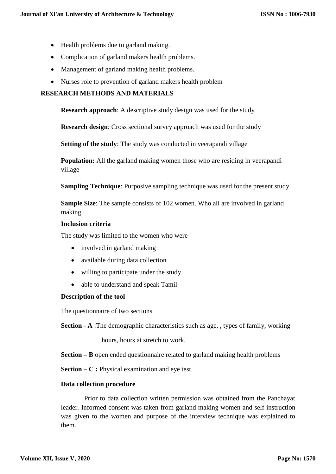- Health problems due to garland making.
- Complication of garland makers health problems.
- Management of garland making health problems.
- Nurses role to prevention of garland makers health problem

# **RESEARCH METHODS AND MATERIALS**

**Research approach**: A descriptive study design was used for the study

**Research design**: Cross sectional survey approach was used for the study

**Setting of the study**: The study was conducted in veerapandi village

**Population:** All the garland making women those who are residing in veerapandi village

**Sampling Technique**: Purposive sampling technique was used for the present study.

**Sample Size**: The sample consists of 102 women. Who all are involved in garland making.

### **Inclusion criteria**

The study was limited to the women who were

- involved in garland making
- available during data collection
- willing to participate under the study
- able to understand and speak Tamil

# **Description of the tool**

The questionnaire of two sections

**Section - A** :The demographic characteristics such as age, , types of family, working

hours, hours at stretch to work.

**Section – B** open ended questionnaire related to garland making health problems

**Section – C :** Physical examination and eye test.

# **Data collection procedure**

Prior to data collection written permission was obtained from the Panchayat leader. Informed consent was taken from garland making women and self instruction was given to the women and purpose of the interview technique was explained to them.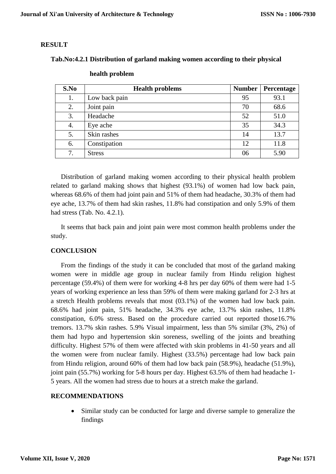# **RESULT**

# **Tab.No:4.2.1 Distribution of garland making women according to their physical**

| S.No | <b>Health problems</b> | <b>Number</b> | Percentage |
|------|------------------------|---------------|------------|
| 1.   | Low back pain          | 95            | 93.1       |
| 2.   | Joint pain             | 70            | 68.6       |
| 3.   | Headache               | 52            | 51.0       |
| 4.   | Eye ache               | 35            | 34.3       |
| 5.   | Skin rashes            | 14            | 13.7       |
| 6.   | Constipation           | 12            | 11.8       |
| 7.   | <b>Stress</b>          | 06            | 5.90       |

### **health problem**

Distribution of garland making women according to their physical health problem related to garland making shows that highest (93.1%) of women had low back pain, whereas 68.6% of them had joint pain and 51% of them had headache, 30.3% of them had eye ache, 13.7% of them had skin rashes, 11.8% had constipation and only 5.9% of them had stress (Tab. No. 4.2.1).

It seems that back pain and joint pain were most common health problems under the study.

# **CONCLUSION**

From the findings of the study it can be concluded that most of the garland making women were in middle age group in nuclear family from Hindu religion highest percentage (59.4%) of them were for working 4-8 hrs per day 60% of them were had 1-5 years of working experience an less than 59% of them were making garland for 2-3 hrs at a stretch Health problems reveals that most (03.1%) of the women had low back pain. 68.6% had joint pain, 51% headache, 34.3% eye ache, 13.7% skin rashes, 11.8% constipation, 6.0% stress. Based on the procedure carried out reported those16.7% tremors. 13.7% skin rashes. 5.9% Visual impairment, less than 5% similar (3%, 2%) of them had hypo and hypertension skin soreness, swelling of the joints and breathing difficulty. Highest 57% of them were affected with skin problems in 41-50 years and all the women were from nuclear family. Highest (33.5%) percentage had low back pain from Hindu religion, around 60% of them had low back pain (58.9%), headache (51.9%), joint pain (55.7%) working for 5-8 hours per day. Highest 63.5% of them had headache 1- 5 years. All the women had stress due to hours at a stretch make the garland.

# **RECOMMENDATIONS**

 Similar study can be conducted for large and diverse sample to generalize the findings